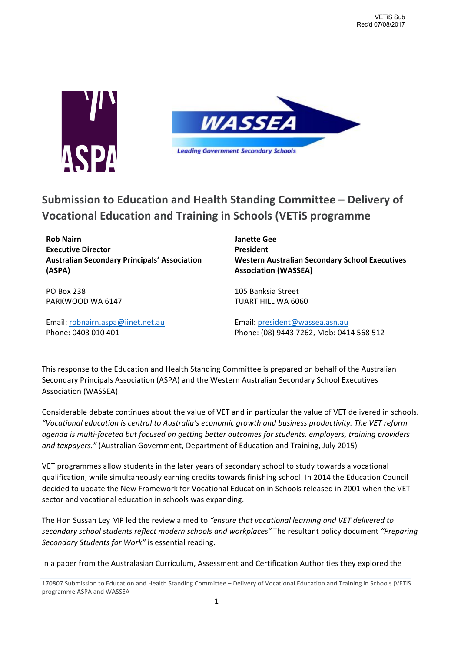



# **Submission to Education and Health Standing Committee – Delivery of Vocational Education and Training in Schools (VETIS programme**

**Rob Nairn Executive Director Australian Secondary Principals' Association (ASPA)**

PO Box 238 PARKWOOD WA 6147

Email: robnairn.aspa@iinet.net.au Phone: 0403 010 401

**Janette Gee President Western Australian Secondary School Executives Association (WASSEA)** 

105 Banksia Street **TUART HILL WA 6060** 

Email: president@wassea.asn.au Phone: (08) 9443 7262, Mob: 0414 568 512

This response to the Education and Health Standing Committee is prepared on behalf of the Australian Secondary Principals Association (ASPA) and the Western Australian Secondary School Executives Association (WASSEA).

Considerable debate continues about the value of VET and in particular the value of VET delivered in schools. *"Vocational education is central to Australia's economic growth and business productivity. The VET reform agenda* is multi-faceted but focused on getting better outcomes for students, employers, training providers and taxpayers." (Australian Government, Department of Education and Training, July 2015)

VET programmes allow students in the later years of secondary school to study towards a vocational qualification, while simultaneously earning credits towards finishing school. In 2014 the Education Council decided to update the New Framework for Vocational Education in Schools released in 2001 when the VET sector and vocational education in schools was expanding.

The Hon Sussan Ley MP led the review aimed to "ensure that vocational learning and VET delivered to secondary school students reflect modern schools and workplaces" The resultant policy document "Preparing Secondary Students for Work" is essential reading.

In a paper from the Australasian Curriculum, Assessment and Certification Authorities they explored the

170807 Submission to Education and Health Standing Committee - Delivery of Vocational Education and Training in Schools (VETiS programme ASPA and WASSEA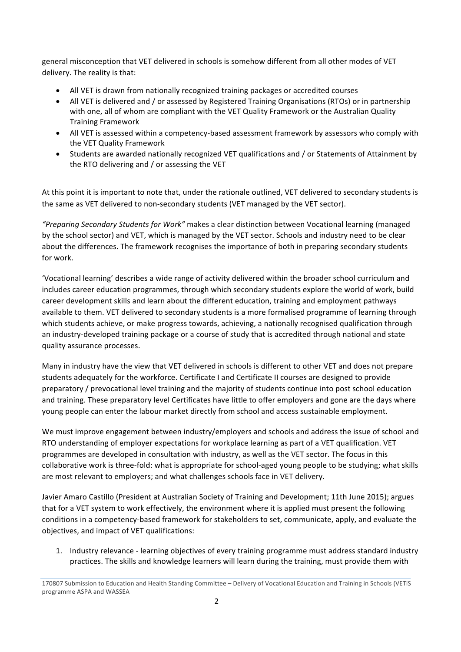general misconception that VET delivered in schools is somehow different from all other modes of VET delivery. The reality is that:

- All VET is drawn from nationally recognized training packages or accredited courses
- All VET is delivered and / or assessed by Registered Training Organisations (RTOs) or in partnership with one, all of whom are compliant with the VET Quality Framework or the Australian Quality **Training Framework**
- All VET is assessed within a competency-based assessment framework by assessors who comply with the VET Quality Framework
- Students are awarded nationally recognized VET qualifications and / or Statements of Attainment by the RTO delivering and / or assessing the VET

At this point it is important to note that, under the rationale outlined, VET delivered to secondary students is the same as VET delivered to non-secondary students (VET managed by the VET sector).

"Preparing Secondary Students for Work" makes a clear distinction between Vocational learning (managed by the school sector) and VET, which is managed by the VET sector. Schools and industry need to be clear about the differences. The framework recognises the importance of both in preparing secondary students for work.

'Vocational learning' describes a wide range of activity delivered within the broader school curriculum and includes career education programmes, through which secondary students explore the world of work, build career development skills and learn about the different education, training and employment pathways available to them. VET delivered to secondary students is a more formalised programme of learning through which students achieve, or make progress towards, achieving, a nationally recognised qualification through an industry-developed training package or a course of study that is accredited through national and state quality assurance processes.

Many in industry have the view that VET delivered in schools is different to other VET and does not prepare students adequately for the workforce. Certificate I and Certificate II courses are designed to provide preparatory / prevocational level training and the majority of students continue into post school education and training. These preparatory level Certificates have little to offer employers and gone are the days where young people can enter the labour market directly from school and access sustainable employment.

We must improve engagement between industry/employers and schools and address the issue of school and RTO understanding of employer expectations for workplace learning as part of a VET qualification. VET programmes are developed in consultation with industry, as well as the VET sector. The focus in this collaborative work is three-fold: what is appropriate for school-aged young people to be studying; what skills are most relevant to employers; and what challenges schools face in VET delivery.

Javier Amaro Castillo (President at Australian Society of Training and Development; 11th June 2015); argues that for a VET system to work effectively, the environment where it is applied must present the following conditions in a competency-based framework for stakeholders to set, communicate, apply, and evaluate the objectives, and impact of VET qualifications:

1. Industry relevance - learning objectives of every training programme must address standard industry practices. The skills and knowledge learners will learn during the training, must provide them with

<sup>170807</sup> Submission to Education and Health Standing Committee – Delivery of Vocational Education and Training in Schools (VETiS programme ASPA and WASSEA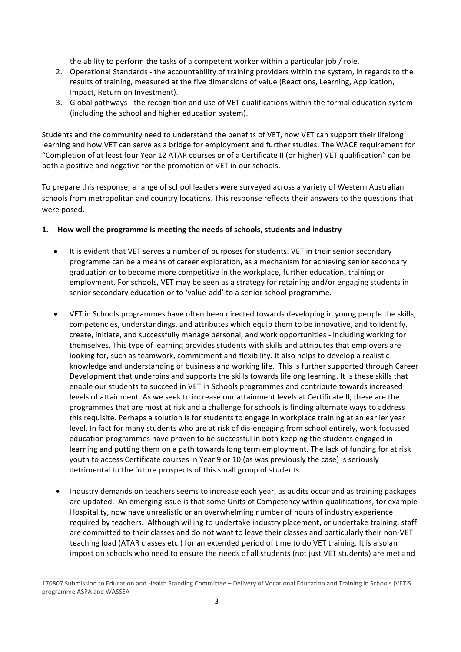the ability to perform the tasks of a competent worker within a particular job / role.

- 2. Operational Standards the accountability of training providers within the system, in regards to the results of training, measured at the five dimensions of value (Reactions, Learning, Application, Impact, Return on Investment).
- 3. Global pathways the recognition and use of VET qualifications within the formal education system (including the school and higher education system).

Students and the community need to understand the benefits of VET, how VET can support their lifelong learning and how VET can serve as a bridge for employment and further studies. The WACE requirement for "Completion of at least four Year 12 ATAR courses or of a Certificate II (or higher) VET qualification" can be both a positive and negative for the promotion of VET in our schools.

To prepare this response, a range of school leaders were surveyed across a variety of Western Australian schools from metropolitan and country locations. This response reflects their answers to the questions that were posed.

#### **1.** How well the programme is meeting the needs of schools, students and industry

- It is evident that VET serves a number of purposes for students. VET in their senior secondary programme can be a means of career exploration, as a mechanism for achieving senior secondary graduation or to become more competitive in the workplace, further education, training or employment. For schools, VET may be seen as a strategy for retaining and/or engaging students in senior secondary education or to 'value-add' to a senior school programme.
- VET in Schools programmes have often been directed towards developing in young people the skills, competencies, understandings, and attributes which equip them to be innovative, and to identify, create, initiate, and successfully manage personal, and work opportunities - including working for themselves. This type of learning provides students with skills and attributes that employers are looking for, such as teamwork, commitment and flexibility. It also helps to develop a realistic knowledge and understanding of business and working life. This is further supported through Career Development that underpins and supports the skills towards lifelong learning. It is these skills that enable our students to succeed in VET in Schools programmes and contribute towards increased levels of attainment. As we seek to increase our attainment levels at Certificate II, these are the programmes that are most at risk and a challenge for schools is finding alternate ways to address this requisite. Perhaps a solution is for students to engage in workplace training at an earlier year level. In fact for many students who are at risk of dis-engaging from school entirely, work focussed education programmes have proven to be successful in both keeping the students engaged in learning and putting them on a path towards long term employment. The lack of funding for at risk youth to access Certificate courses in Year 9 or 10 (as was previously the case) is seriously detrimental to the future prospects of this small group of students.
- Industry demands on teachers seems to increase each year, as audits occur and as training packages are updated. An emerging issue is that some Units of Competency within qualifications, for example Hospitality, now have unrealistic or an overwhelming number of hours of industry experience required by teachers. Although willing to undertake industry placement, or undertake training, staff are committed to their classes and do not want to leave their classes and particularly their non-VET teaching load (ATAR classes etc.) for an extended period of time to do VET training. It is also an impost on schools who need to ensure the needs of all students (not just VET students) are met and

<sup>170807</sup> Submission to Education and Health Standing Committee – Delivery of Vocational Education and Training in Schools (VETiS programme ASPA and WASSEA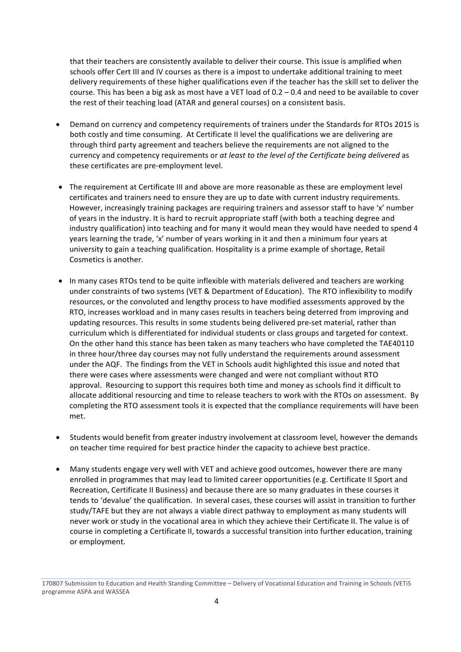that their teachers are consistently available to deliver their course. This issue is amplified when schools offer Cert III and IV courses as there is a impost to undertake additional training to meet delivery requirements of these higher qualifications even if the teacher has the skill set to deliver the course. This has been a big ask as most have a VET load of  $0.2 - 0.4$  and need to be available to cover the rest of their teaching load (ATAR and general courses) on a consistent basis.

- Demand on currency and competency requirements of trainers under the Standards for RTOs 2015 is both costly and time consuming. At Certificate II level the qualifications we are delivering are through third party agreement and teachers believe the requirements are not aligned to the currency and competency requirements or *at least to the level of the Certificate being delivered* as these certificates are pre-employment level.
- The requirement at Certificate III and above are more reasonable as these are employment level certificates and trainers need to ensure they are up to date with current industry requirements. However, increasingly training packages are requiring trainers and assessor staff to have 'x' number of years in the industry. It is hard to recruit appropriate staff (with both a teaching degree and industry qualification) into teaching and for many it would mean they would have needed to spend 4 years learning the trade, 'x' number of years working in it and then a minimum four years at university to gain a teaching qualification. Hospitality is a prime example of shortage, Retail Cosmetics is another.
- In many cases RTOs tend to be quite inflexible with materials delivered and teachers are working under constraints of two systems (VET & Department of Education). The RTO inflexibility to modify resources, or the convoluted and lengthy process to have modified assessments approved by the RTO, increases workload and in many cases results in teachers being deterred from improving and updating resources. This results in some students being delivered pre-set material, rather than curriculum which is differentiated for individual students or class groups and targeted for context. On the other hand this stance has been taken as many teachers who have completed the TAE40110 in three hour/three day courses may not fully understand the requirements around assessment under the AQF. The findings from the VET in Schools audit highlighted this issue and noted that there were cases where assessments were changed and were not compliant without RTO approval. Resourcing to support this requires both time and money as schools find it difficult to allocate additional resourcing and time to release teachers to work with the RTOs on assessment. By completing the RTO assessment tools it is expected that the compliance requirements will have been met.
- Students would benefit from greater industry involvement at classroom level, however the demands on teacher time required for best practice hinder the capacity to achieve best practice.
- Many students engage very well with VET and achieve good outcomes, however there are many enrolled in programmes that may lead to limited career opportunities (e.g. Certificate II Sport and Recreation, Certificate II Business) and because there are so many graduates in these courses it tends to 'devalue' the qualification. In several cases, these courses will assist in transition to further study/TAFE but they are not always a viable direct pathway to employment as many students will never work or study in the vocational area in which they achieve their Certificate II. The value is of course in completing a Certificate II, towards a successful transition into further education, training or employment.

170807 Submission to Education and Health Standing Committee – Delivery of Vocational Education and Training in Schools (VETiS programme ASPA and WASSEA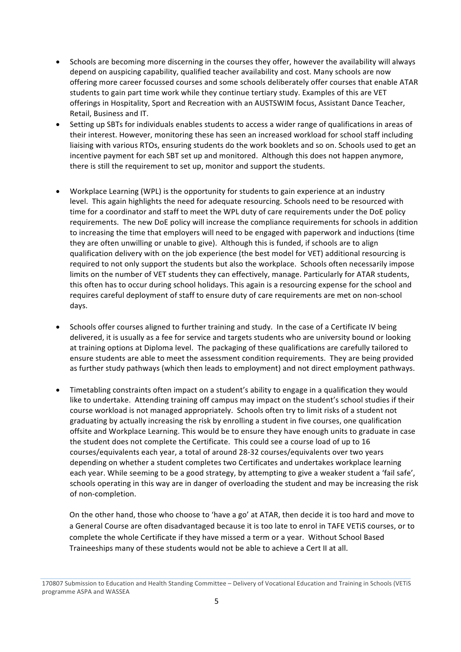- Schools are becoming more discerning in the courses they offer, however the availability will always depend on auspicing capability, qualified teacher availability and cost. Many schools are now offering more career focussed courses and some schools deliberately offer courses that enable ATAR students to gain part time work while they continue tertiary study. Examples of this are VET offerings in Hospitality, Sport and Recreation with an AUSTSWIM focus, Assistant Dance Teacher, Retail, Business and IT.
- Setting up SBTs for individuals enables students to access a wider range of qualifications in areas of their interest. However, monitoring these has seen an increased workload for school staff including liaising with various RTOs, ensuring students do the work booklets and so on. Schools used to get an incentive payment for each SBT set up and monitored. Although this does not happen anymore, there is still the requirement to set up, monitor and support the students.
- Workplace Learning (WPL) is the opportunity for students to gain experience at an industry level. This again highlights the need for adequate resourcing. Schools need to be resourced with time for a coordinator and staff to meet the WPL duty of care requirements under the DoE policy requirements. The new DoE policy will increase the compliance requirements for schools in addition to increasing the time that employers will need to be engaged with paperwork and inductions (time they are often unwilling or unable to give). Although this is funded, if schools are to align qualification delivery with on the job experience (the best model for VET) additional resourcing is required to not only support the students but also the workplace. Schools often necessarily impose limits on the number of VET students they can effectively, manage. Particularly for ATAR students, this often has to occur during school holidays. This again is a resourcing expense for the school and requires careful deployment of staff to ensure duty of care requirements are met on non-school days.
- Schools offer courses aligned to further training and study. In the case of a Certificate IV being delivered, it is usually as a fee for service and targets students who are university bound or looking at training options at Diploma level. The packaging of these qualifications are carefully tailored to ensure students are able to meet the assessment condition requirements. They are being provided as further study pathways (which then leads to employment) and not direct employment pathways.
- Timetabling constraints often impact on a student's ability to engage in a qualification they would like to undertake. Attending training off campus may impact on the student's school studies if their course workload is not managed appropriately. Schools often try to limit risks of a student not graduating by actually increasing the risk by enrolling a student in five courses, one qualification offsite and Workplace Learning. This would be to ensure they have enough units to graduate in case the student does not complete the Certificate. This could see a course load of up to 16 courses/equivalents each year, a total of around 28-32 courses/equivalents over two years depending on whether a student completes two Certificates and undertakes workplace learning each year. While seeming to be a good strategy, by attempting to give a weaker student a 'fail safe', schools operating in this way are in danger of overloading the student and may be increasing the risk of non-completion.

On the other hand, those who choose to 'have a go' at ATAR, then decide it is too hard and move to a General Course are often disadvantaged because it is too late to enrol in TAFE VETiS courses, or to complete the whole Certificate if they have missed a term or a year. Without School Based Traineeships many of these students would not be able to achieve a Cert II at all.

<sup>170807</sup> Submission to Education and Health Standing Committee – Delivery of Vocational Education and Training in Schools (VETiS programme ASPA and WASSEA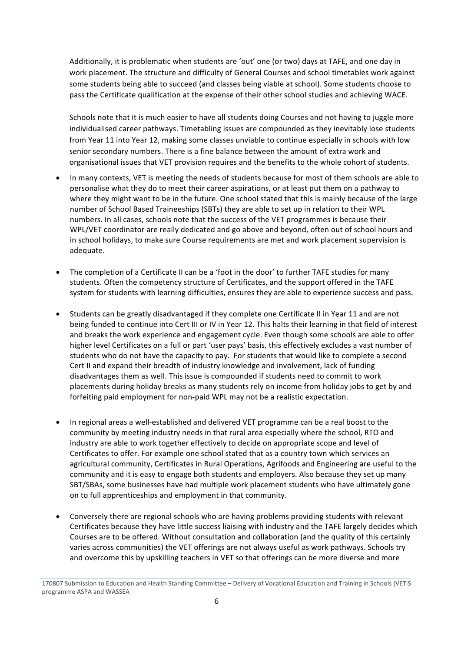Additionally, it is problematic when students are 'out' one (or two) days at TAFE, and one day in work placement. The structure and difficulty of General Courses and school timetables work against some students being able to succeed (and classes being viable at school). Some students choose to pass the Certificate qualification at the expense of their other school studies and achieving WACE.

Schools note that it is much easier to have all students doing Courses and not having to juggle more individualised career pathways. Timetabling issues are compounded as they inevitably lose students from Year 11 into Year 12, making some classes unviable to continue especially in schools with low senior secondary numbers. There is a fine balance between the amount of extra work and organisational issues that VET provision requires and the benefits to the whole cohort of students.

- In many contexts, VET is meeting the needs of students because for most of them schools are able to personalise what they do to meet their career aspirations, or at least put them on a pathway to where they might want to be in the future. One school stated that this is mainly because of the large number of School Based Traineeships (SBTs) they are able to set up in relation to their WPL numbers. In all cases, schools note that the success of the VET programmes is because their WPL/VET coordinator are really dedicated and go above and beyond, often out of school hours and in school holidays, to make sure Course requirements are met and work placement supervision is adequate.
- The completion of a Certificate II can be a 'foot in the door' to further TAFE studies for many students. Often the competency structure of Certificates, and the support offered in the TAFE system for students with learning difficulties, ensures they are able to experience success and pass.
- Students can be greatly disadvantaged if they complete one Certificate II in Year 11 and are not being funded to continue into Cert III or IV in Year 12. This halts their learning in that field of interest and breaks the work experience and engagement cycle. Even though some schools are able to offer higher level Certificates on a full or part 'user pays' basis, this effectively excludes a vast number of students who do not have the capacity to pay. For students that would like to complete a second Cert II and expand their breadth of industry knowledge and involvement, lack of funding disadvantages them as well. This issue is compounded if students need to commit to work placements during holiday breaks as many students rely on income from holiday jobs to get by and forfeiting paid employment for non-paid WPL may not be a realistic expectation.
- In regional areas a well-established and delivered VET programme can be a real boost to the community by meeting industry needs in that rural area especially where the school, RTO and industry are able to work together effectively to decide on appropriate scope and level of Certificates to offer. For example one school stated that as a country town which services an agricultural community, Certificates in Rural Operations, Agrifoods and Engineering are useful to the community and it is easy to engage both students and employers. Also because they set up many SBT/SBAs, some businesses have had multiple work placement students who have ultimately gone on to full apprenticeships and employment in that community.
- Conversely there are regional schools who are having problems providing students with relevant Certificates because they have little success liaising with industry and the TAFE largely decides which Courses are to be offered. Without consultation and collaboration (and the quality of this certainly varies across communities) the VET offerings are not always useful as work pathways. Schools try and overcome this by upskilling teachers in VET so that offerings can be more diverse and more

<sup>170807</sup> Submission to Education and Health Standing Committee – Delivery of Vocational Education and Training in Schools (VETiS programme ASPA and WASSEA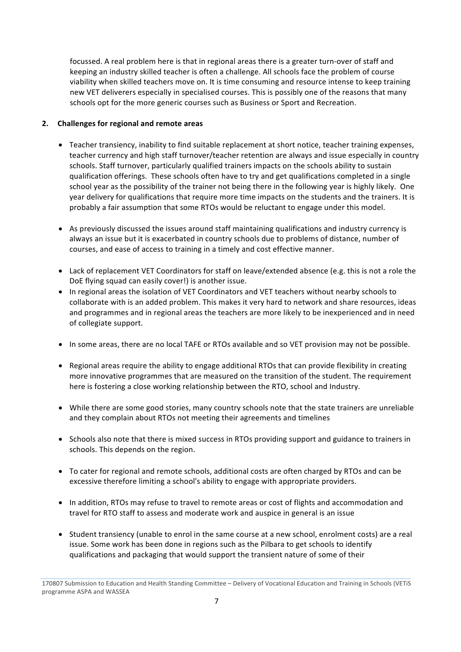focussed. A real problem here is that in regional areas there is a greater turn-over of staff and keeping an industry skilled teacher is often a challenge. All schools face the problem of course viability when skilled teachers move on. It is time consuming and resource intense to keep training new VET deliverers especially in specialised courses. This is possibly one of the reasons that many schools opt for the more generic courses such as Business or Sport and Recreation.

#### 2. Challenges for regional and remote areas

- Teacher transiency, inability to find suitable replacement at short notice, teacher training expenses, teacher currency and high staff turnover/teacher retention are always and issue especially in country schools. Staff turnover, particularly qualified trainers impacts on the schools ability to sustain qualification offerings. These schools often have to try and get qualifications completed in a single school year as the possibility of the trainer not being there in the following year is highly likely. One year delivery for qualifications that require more time impacts on the students and the trainers. It is probably a fair assumption that some RTOs would be reluctant to engage under this model.
- As previously discussed the issues around staff maintaining qualifications and industry currency is always an issue but it is exacerbated in country schools due to problems of distance, number of courses, and ease of access to training in a timely and cost effective manner.
- Lack of replacement VET Coordinators for staff on leave/extended absence (e.g. this is not a role the DoE flying squad can easily cover!) is another issue.
- In regional areas the isolation of VET Coordinators and VET teachers without nearby schools to collaborate with is an added problem. This makes it very hard to network and share resources, ideas and programmes and in regional areas the teachers are more likely to be inexperienced and in need of collegiate support.
- In some areas, there are no local TAFE or RTOs available and so VET provision may not be possible.
- Regional areas require the ability to engage additional RTOs that can provide flexibility in creating more innovative programmes that are measured on the transition of the student. The requirement here is fostering a close working relationship between the RTO, school and Industry.
- While there are some good stories, many country schools note that the state trainers are unreliable and they complain about RTOs not meeting their agreements and timelines
- Schools also note that there is mixed success in RTOs providing support and guidance to trainers in schools. This depends on the region.
- To cater for regional and remote schools, additional costs are often charged by RTOs and can be excessive therefore limiting a school's ability to engage with appropriate providers.
- In addition, RTOs may refuse to travel to remote areas or cost of flights and accommodation and travel for RTO staff to assess and moderate work and auspice in general is an issue
- Student transiency (unable to enrol in the same course at a new school, enrolment costs) are a real issue. Some work has been done in regions such as the Pilbara to get schools to identify qualifications and packaging that would support the transient nature of some of their

<sup>170807</sup> Submission to Education and Health Standing Committee – Delivery of Vocational Education and Training in Schools (VETiS programme ASPA and WASSEA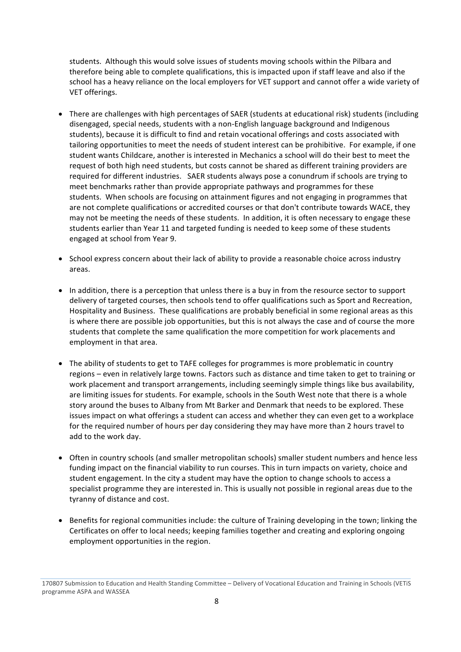students. Although this would solve issues of students moving schools within the Pilbara and therefore being able to complete qualifications, this is impacted upon if staff leave and also if the school has a heavy reliance on the local employers for VET support and cannot offer a wide variety of VET offerings.

- There are challenges with high percentages of SAER (students at educational risk) students (including disengaged, special needs, students with a non-English language background and Indigenous students), because it is difficult to find and retain vocational offerings and costs associated with tailoring opportunities to meet the needs of student interest can be prohibitive. For example, if one student wants Childcare, another is interested in Mechanics a school will do their best to meet the request of both high need students, but costs cannot be shared as different training providers are required for different industries. SAER students always pose a conundrum if schools are trying to meet benchmarks rather than provide appropriate pathways and programmes for these students. When schools are focusing on attainment figures and not engaging in programmes that are not complete qualifications or accredited courses or that don't contribute towards WACE, they may not be meeting the needs of these students. In addition, it is often necessary to engage these students earlier than Year 11 and targeted funding is needed to keep some of these students engaged at school from Year 9.
- School express concern about their lack of ability to provide a reasonable choice across industry areas.
- In addition, there is a perception that unless there is a buy in from the resource sector to support delivery of targeted courses, then schools tend to offer qualifications such as Sport and Recreation, Hospitality and Business. These qualifications are probably beneficial in some regional areas as this is where there are possible job opportunities, but this is not always the case and of course the more students that complete the same qualification the more competition for work placements and employment in that area.
- The ability of students to get to TAFE colleges for programmes is more problematic in country regions – even in relatively large towns. Factors such as distance and time taken to get to training or work placement and transport arrangements, including seemingly simple things like bus availability, are limiting issues for students. For example, schools in the South West note that there is a whole story around the buses to Albany from Mt Barker and Denmark that needs to be explored. These issues impact on what offerings a student can access and whether they can even get to a workplace for the required number of hours per day considering they may have more than 2 hours travel to add to the work day.
- Often in country schools (and smaller metropolitan schools) smaller student numbers and hence less funding impact on the financial viability to run courses. This in turn impacts on variety, choice and student engagement. In the city a student may have the option to change schools to access a specialist programme they are interested in. This is usually not possible in regional areas due to the tyranny of distance and cost.
- Benefits for regional communities include: the culture of Training developing in the town; linking the Certificates on offer to local needs; keeping families together and creating and exploring ongoing employment opportunities in the region.

<sup>170807</sup> Submission to Education and Health Standing Committee – Delivery of Vocational Education and Training in Schools (VETiS programme ASPA and WASSEA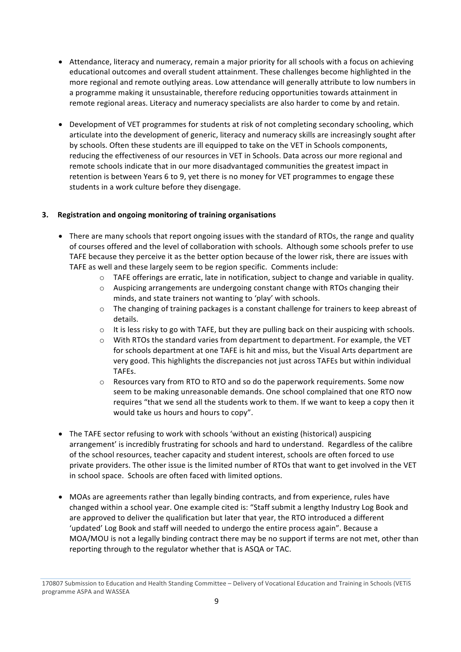- Attendance, literacy and numeracy, remain a major priority for all schools with a focus on achieving educational outcomes and overall student attainment. These challenges become highlighted in the more regional and remote outlying areas. Low attendance will generally attribute to low numbers in a programme making it unsustainable, therefore reducing opportunities towards attainment in remote regional areas. Literacy and numeracy specialists are also harder to come by and retain.
- Development of VET programmes for students at risk of not completing secondary schooling, which articulate into the development of generic, literacy and numeracy skills are increasingly sought after by schools. Often these students are ill equipped to take on the VET in Schools components, reducing the effectiveness of our resources in VET in Schools. Data across our more regional and remote schools indicate that in our more disadvantaged communities the greatest impact in retention is between Years 6 to 9, yet there is no money for VET programmes to engage these students in a work culture before they disengage.

# **3. Registration and ongoing monitoring of training organisations**

- There are many schools that report ongoing issues with the standard of RTOs, the range and quality of courses offered and the level of collaboration with schools. Although some schools prefer to use TAFE because they perceive it as the better option because of the lower risk, there are issues with TAFE as well and these largely seem to be region specific. Comments include:
	- $\circ$  TAFE offerings are erratic, late in notification, subject to change and variable in quality.
	- $\circ$  Auspicing arrangements are undergoing constant change with RTOs changing their minds, and state trainers not wanting to 'play' with schools.
	- $\circ$  The changing of training packages is a constant challenge for trainers to keep abreast of details.
	- $\circ$  It is less risky to go with TAFE, but they are pulling back on their auspicing with schools.
	- $\circ$  With RTOs the standard varies from department to department. For example, the VET for schools department at one TAFE is hit and miss, but the Visual Arts department are very good. This highlights the discrepancies not just across TAFEs but within individual TAFEs.
	- $\circ$  Resources vary from RTO to RTO and so do the paperwork requirements. Some now seem to be making unreasonable demands. One school complained that one RTO now requires "that we send all the students work to them. If we want to keep a copy then it would take us hours and hours to copy".
- The TAFE sector refusing to work with schools 'without an existing (historical) auspicing arrangement' is incredibly frustrating for schools and hard to understand. Regardless of the calibre of the school resources, teacher capacity and student interest, schools are often forced to use private providers. The other issue is the limited number of RTOs that want to get involved in the VET in school space. Schools are often faced with limited options.
- MOAs are agreements rather than legally binding contracts, and from experience, rules have changed within a school year. One example cited is: "Staff submit a lengthy Industry Log Book and are approved to deliver the qualification but later that year, the RTO introduced a different 'updated' Log Book and staff will needed to undergo the entire process again". Because a MOA/MOU is not a legally binding contract there may be no support if terms are not met, other than reporting through to the regulator whether that is ASQA or TAC.

<sup>170807</sup> Submission to Education and Health Standing Committee – Delivery of Vocational Education and Training in Schools (VETiS programme ASPA and WASSEA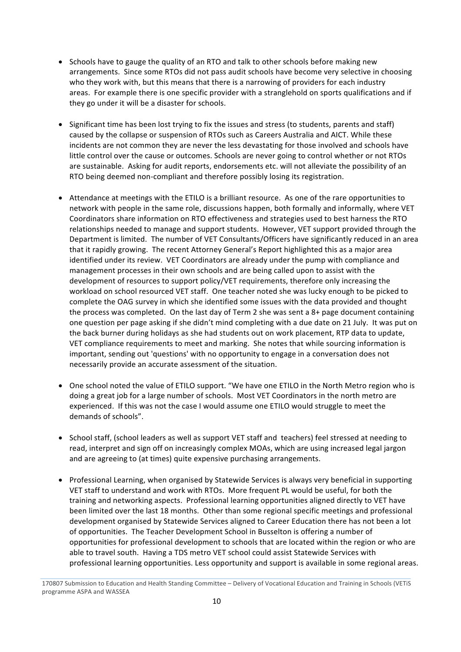- Schools have to gauge the quality of an RTO and talk to other schools before making new arrangements. Since some RTOs did not pass audit schools have become very selective in choosing who they work with, but this means that there is a narrowing of providers for each industry areas. For example there is one specific provider with a stranglehold on sports qualifications and if they go under it will be a disaster for schools.
- Significant time has been lost trying to fix the issues and stress (to students, parents and staff) caused by the collapse or suspension of RTOs such as Careers Australia and AICT. While these incidents are not common they are never the less devastating for those involved and schools have little control over the cause or outcomes. Schools are never going to control whether or not RTOs are sustainable. Asking for audit reports, endorsements etc. will not alleviate the possibility of an RTO being deemed non-compliant and therefore possibly losing its registration.
- Attendance at meetings with the ETILO is a brilliant resource. As one of the rare opportunities to network with people in the same role, discussions happen, both formally and informally, where VET Coordinators share information on RTO effectiveness and strategies used to best harness the RTO relationships needed to manage and support students. However, VET support provided through the Department is limited. The number of VET Consultants/Officers have significantly reduced in an area that it rapidly growing. The recent Attorney General's Report highlighted this as a major area identified under its review. VET Coordinators are already under the pump with compliance and management processes in their own schools and are being called upon to assist with the development of resources to support policy/VET requirements, therefore only increasing the workload on school resourced VET staff. One teacher noted she was lucky enough to be picked to complete the OAG survey in which she identified some issues with the data provided and thought the process was completed. On the last day of Term 2 she was sent a  $8+$  page document containing one question per page asking if she didn't mind completing with a due date on 21 July. It was put on the back burner during holidays as she had students out on work placement, RTP data to update, VET compliance requirements to meet and marking. She notes that while sourcing information is important, sending out 'questions' with no opportunity to engage in a conversation does not necessarily provide an accurate assessment of the situation.
- One school noted the value of ETILO support. "We have one ETILO in the North Metro region who is doing a great job for a large number of schools. Most VET Coordinators in the north metro are experienced. If this was not the case I would assume one ETILO would struggle to meet the demands of schools".
- School staff, (school leaders as well as support VET staff and teachers) feel stressed at needing to read, interpret and sign off on increasingly complex MOAs, which are using increased legal jargon and are agreeing to (at times) quite expensive purchasing arrangements.
- Professional Learning, when organised by Statewide Services is always very beneficial in supporting VET staff to understand and work with RTOs. More frequent PL would be useful, for both the training and networking aspects. Professional learning opportunities aligned directly to VET have been limited over the last 18 months. Other than some regional specific meetings and professional development organised by Statewide Services aligned to Career Education there has not been a lot of opportunities. The Teacher Development School in Busselton is offering a number of opportunities for professional development to schools that are located within the region or who are able to travel south. Having a TDS metro VET school could assist Statewide Services with professional learning opportunities. Less opportunity and support is available in some regional areas.

<sup>170807</sup> Submission to Education and Health Standing Committee – Delivery of Vocational Education and Training in Schools (VETiS programme ASPA and WASSEA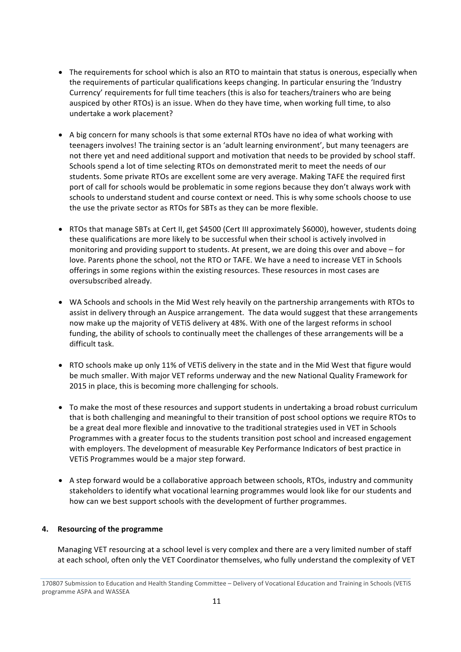- The requirements for school which is also an RTO to maintain that status is onerous, especially when the requirements of particular qualifications keeps changing. In particular ensuring the 'Industry Currency' requirements for full time teachers (this is also for teachers/trainers who are being auspiced by other RTOs) is an issue. When do they have time, when working full time, to also undertake a work placement?
- A big concern for many schools is that some external RTOs have no idea of what working with teenagers involves! The training sector is an 'adult learning environment', but many teenagers are not there yet and need additional support and motivation that needs to be provided by school staff. Schools spend a lot of time selecting RTOs on demonstrated merit to meet the needs of our students. Some private RTOs are excellent some are very average. Making TAFE the required first port of call for schools would be problematic in some regions because they don't always work with schools to understand student and course context or need. This is why some schools choose to use the use the private sector as RTOs for SBTs as they can be more flexible.
- RTOs that manage SBTs at Cert II, get \$4500 (Cert III approximately \$6000), however, students doing these qualifications are more likely to be successful when their school is actively involved in monitoring and providing support to students. At present, we are doing this over and above – for love. Parents phone the school, not the RTO or TAFE. We have a need to increase VET in Schools offerings in some regions within the existing resources. These resources in most cases are oversubscribed already.
- WA Schools and schools in the Mid West rely heavily on the partnership arrangements with RTOs to assist in delivery through an Auspice arrangement. The data would suggest that these arrangements now make up the majority of VETIS delivery at 48%. With one of the largest reforms in school funding, the ability of schools to continually meet the challenges of these arrangements will be a difficult task.
- RTO schools make up only 11% of VETiS delivery in the state and in the Mid West that figure would be much smaller. With major VET reforms underway and the new National Quality Framework for 2015 in place, this is becoming more challenging for schools.
- To make the most of these resources and support students in undertaking a broad robust curriculum that is both challenging and meaningful to their transition of post school options we require RTOs to be a great deal more flexible and innovative to the traditional strategies used in VET in Schools Programmes with a greater focus to the students transition post school and increased engagement with employers. The development of measurable Key Performance Indicators of best practice in VETIS Programmes would be a major step forward.
- A step forward would be a collaborative approach between schools, RTOs, industry and community stakeholders to identify what vocational learning programmes would look like for our students and how can we best support schools with the development of further programmes.

# **4.** Resourcing of the programme

Managing VET resourcing at a school level is very complex and there are a very limited number of staff at each school, often only the VET Coordinator themselves, who fully understand the complexity of VET

<sup>170807</sup> Submission to Education and Health Standing Committee – Delivery of Vocational Education and Training in Schools (VETiS programme ASPA and WASSEA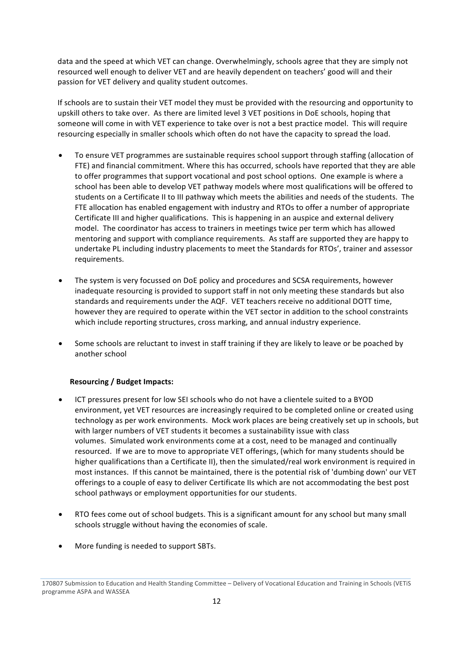data and the speed at which VET can change. Overwhelmingly, schools agree that they are simply not resourced well enough to deliver VET and are heavily dependent on teachers' good will and their passion for VET delivery and quality student outcomes.

If schools are to sustain their VET model they must be provided with the resourcing and opportunity to upskill others to take over. As there are limited level 3 VET positions in DoE schools, hoping that someone will come in with VET experience to take over is not a best practice model. This will require resourcing especially in smaller schools which often do not have the capacity to spread the load.

- To ensure VET programmes are sustainable requires school support through staffing (allocation of FTE) and financial commitment. Where this has occurred, schools have reported that they are able to offer programmes that support vocational and post school options. One example is where a school has been able to develop VET pathway models where most qualifications will be offered to students on a Certificate II to III pathway which meets the abilities and needs of the students. The FTE allocation has enabled engagement with industry and RTOs to offer a number of appropriate Certificate III and higher qualifications. This is happening in an auspice and external delivery model. The coordinator has access to trainers in meetings twice per term which has allowed mentoring and support with compliance requirements. As staff are supported they are happy to undertake PL including industry placements to meet the Standards for RTOs', trainer and assessor requirements.
- The system is very focussed on DoE policy and procedures and SCSA requirements, however inadequate resourcing is provided to support staff in not only meeting these standards but also standards and requirements under the AQF. VET teachers receive no additional DOTT time, however they are required to operate within the VET sector in addition to the school constraints which include reporting structures, cross marking, and annual industry experience.
- Some schools are reluctant to invest in staff training if they are likely to leave or be poached by another school

# **Resourcing / Budget Impacts:**

- ICT pressures present for low SEI schools who do not have a clientele suited to a BYOD environment, yet VET resources are increasingly required to be completed online or created using technology as per work environments. Mock work places are being creatively set up in schools, but with larger numbers of VET students it becomes a sustainability issue with class volumes. Simulated work environments come at a cost, need to be managed and continually resourced. If we are to move to appropriate VET offerings, (which for many students should be higher qualifications than a Certificate II), then the simulated/real work environment is required in most instances. If this cannot be maintained, there is the potential risk of 'dumbing down' our VET offerings to a couple of easy to deliver Certificate IIs which are not accommodating the best post school pathways or employment opportunities for our students.
- RTO fees come out of school budgets. This is a significant amount for any school but many small schools struggle without having the economies of scale.
- More funding is needed to support SBTs.

<sup>170807</sup> Submission to Education and Health Standing Committee – Delivery of Vocational Education and Training in Schools (VETiS programme ASPA and WASSEA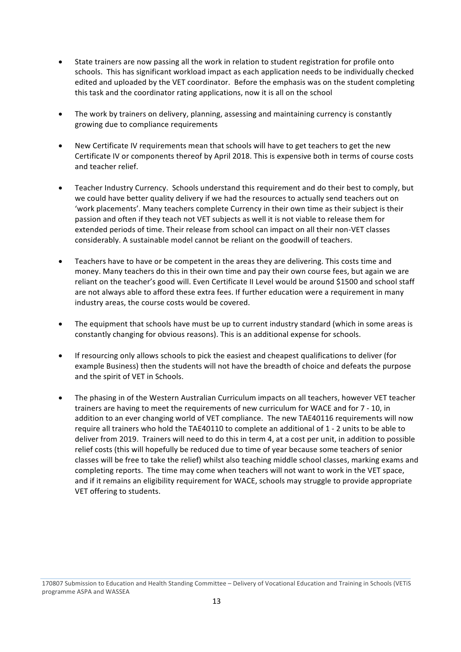- State trainers are now passing all the work in relation to student registration for profile onto schools. This has significant workload impact as each application needs to be individually checked edited and uploaded by the VET coordinator. Before the emphasis was on the student completing this task and the coordinator rating applications, now it is all on the school
- The work by trainers on delivery, planning, assessing and maintaining currency is constantly growing due to compliance requirements
- New Certificate IV requirements mean that schools will have to get teachers to get the new Certificate IV or components thereof by April 2018. This is expensive both in terms of course costs and teacher relief.
- Teacher Industry Currency. Schools understand this requirement and do their best to comply, but we could have better quality delivery if we had the resources to actually send teachers out on 'work placements'. Many teachers complete Currency in their own time as their subject is their passion and often if they teach not VET subjects as well it is not viable to release them for extended periods of time. Their release from school can impact on all their non-VET classes considerably. A sustainable model cannot be reliant on the goodwill of teachers.
- Teachers have to have or be competent in the areas they are delivering. This costs time and money. Many teachers do this in their own time and pay their own course fees, but again we are reliant on the teacher's good will. Even Certificate II Level would be around \$1500 and school staff are not always able to afford these extra fees. If further education were a requirement in many industry areas, the course costs would be covered.
- The equipment that schools have must be up to current industry standard (which in some areas is constantly changing for obvious reasons). This is an additional expense for schools.
- If resourcing only allows schools to pick the easiest and cheapest qualifications to deliver (for example Business) then the students will not have the breadth of choice and defeats the purpose and the spirit of VET in Schools.
- The phasing in of the Western Australian Curriculum impacts on all teachers, however VET teacher trainers are having to meet the requirements of new curriculum for WACE and for 7 - 10, in addition to an ever changing world of VET compliance. The new TAE40116 requirements will now require all trainers who hold the TAE40110 to complete an additional of 1 - 2 units to be able to deliver from 2019. Trainers will need to do this in term 4, at a cost per unit, in addition to possible relief costs (this will hopefully be reduced due to time of year because some teachers of senior classes will be free to take the relief) whilst also teaching middle school classes, marking exams and completing reports. The time may come when teachers will not want to work in the VET space, and if it remains an eligibility requirement for WACE, schools may struggle to provide appropriate VET offering to students.

170807 Submission to Education and Health Standing Committee – Delivery of Vocational Education and Training in Schools (VETiS programme ASPA and WASSEA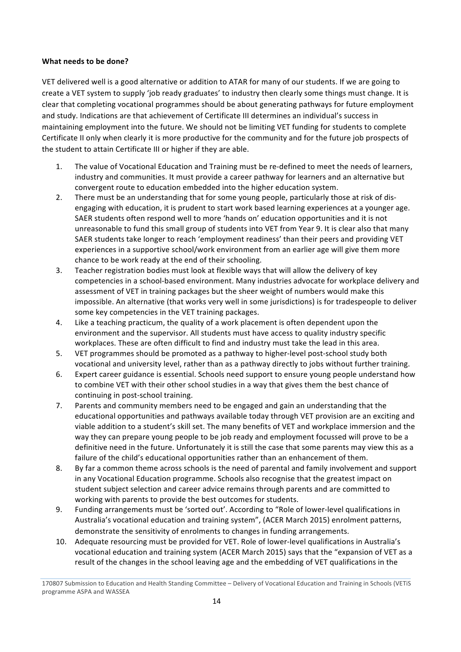#### **What needs to be done?**

VET delivered well is a good alternative or addition to ATAR for many of our students. If we are going to create a VET system to supply 'job ready graduates' to industry then clearly some things must change. It is clear that completing vocational programmes should be about generating pathways for future employment and study. Indications are that achievement of Certificate III determines an individual's success in maintaining employment into the future. We should not be limiting VET funding for students to complete Certificate II only when clearly it is more productive for the community and for the future job prospects of the student to attain Certificate III or higher if they are able.

- 1. The value of Vocational Education and Training must be re-defined to meet the needs of learners, industry and communities. It must provide a career pathway for learners and an alternative but convergent route to education embedded into the higher education system.
- 2. There must be an understanding that for some young people, particularly those at risk of disengaging with education, it is prudent to start work based learning experiences at a younger age. SAER students often respond well to more 'hands on' education opportunities and it is not unreasonable to fund this small group of students into VET from Year 9. It is clear also that many SAER students take longer to reach 'employment readiness' than their peers and providing VET experiences in a supportive school/work environment from an earlier age will give them more chance to be work ready at the end of their schooling.
- 3. Teacher registration bodies must look at flexible ways that will allow the delivery of key competencies in a school-based environment. Many industries advocate for workplace delivery and assessment of VET in training packages but the sheer weight of numbers would make this impossible. An alternative (that works very well in some jurisdictions) is for tradespeople to deliver some key competencies in the VET training packages.
- 4. Like a teaching practicum, the quality of a work placement is often dependent upon the environment and the supervisor. All students must have access to quality industry specific workplaces. These are often difficult to find and industry must take the lead in this area.
- 5. VET programmes should be promoted as a pathway to higher-level post-school study both vocational and university level, rather than as a pathway directly to jobs without further training.
- 6. Expert career guidance is essential. Schools need support to ensure young people understand how to combine VET with their other school studies in a way that gives them the best chance of continuing in post-school training.
- 7. Parents and community members need to be engaged and gain an understanding that the educational opportunities and pathways available today through VET provision are an exciting and viable addition to a student's skill set. The many benefits of VET and workplace immersion and the way they can prepare young people to be job ready and employment focussed will prove to be a definitive need in the future. Unfortunately it is still the case that some parents may view this as a failure of the child's educational opportunities rather than an enhancement of them.
- 8. By far a common theme across schools is the need of parental and family involvement and support in any Vocational Education programme. Schools also recognise that the greatest impact on student subject selection and career advice remains through parents and are committed to working with parents to provide the best outcomes for students.
- 9. Funding arrangements must be 'sorted out'. According to "Role of lower-level qualifications in Australia's vocational education and training system", (ACER March 2015) enrolment patterns, demonstrate the sensitivity of enrolments to changes in funding arrangements.
- 10. Adequate resourcing must be provided for VET. Role of lower-level qualifications in Australia's vocational education and training system (ACER March 2015) says that the "expansion of VET as a result of the changes in the school leaving age and the embedding of VET qualifications in the

<sup>170807</sup> Submission to Education and Health Standing Committee – Delivery of Vocational Education and Training in Schools (VETiS programme ASPA and WASSEA